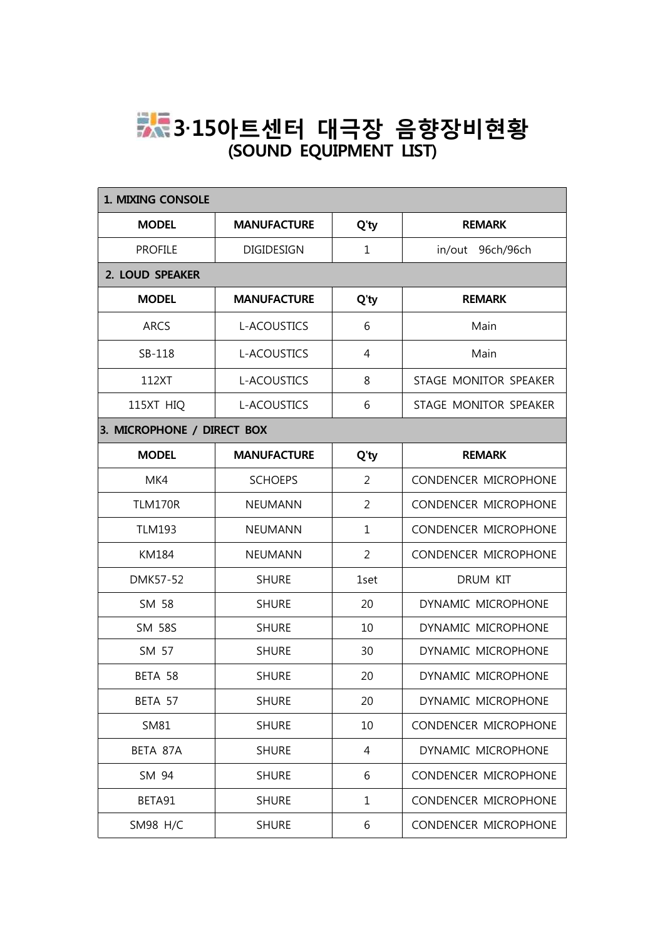## **3‧15아트센터 대극장 음향장비현황 (SOUND EQUIPMENT LIST)**

| 1. MIXING CONSOLE          |                    |                |                       |  |  |
|----------------------------|--------------------|----------------|-----------------------|--|--|
| <b>MODEL</b>               | <b>MANUFACTURE</b> | Q'ty           | <b>REMARK</b>         |  |  |
| <b>PROFILE</b>             | DIGIDESIGN         | $\mathbf 1$    | in/out 96ch/96ch      |  |  |
| 2. LOUD SPEAKER            |                    |                |                       |  |  |
| <b>MODEL</b>               | <b>MANUFACTURE</b> | Q'ty           | <b>REMARK</b>         |  |  |
| <b>ARCS</b>                | <b>L-ACOUSTICS</b> | 6              | Main                  |  |  |
| SB-118                     | L-ACOUSTICS        | $\overline{4}$ | Main                  |  |  |
| 112XT                      | L-ACOUSTICS        | 8              | STAGE MONITOR SPEAKER |  |  |
| 115XT HIQ                  | <b>L-ACOUSTICS</b> | 6              | STAGE MONITOR SPEAKER |  |  |
| 3. MICROPHONE / DIRECT BOX |                    |                |                       |  |  |
| <b>MODEL</b>               | <b>MANUFACTURE</b> | Q'ty           | <b>REMARK</b>         |  |  |
| MK4                        | <b>SCHOEPS</b>     | $\overline{2}$ | CONDENCER MICROPHONE  |  |  |
| <b>TLM170R</b>             | <b>NEUMANN</b>     | $\overline{2}$ | CONDENCER MICROPHONE  |  |  |
| <b>TLM193</b>              | <b>NEUMANN</b>     | $\mathbf 1$    | CONDENCER MICROPHONE  |  |  |
| KM184                      | <b>NEUMANN</b>     | $\overline{2}$ | CONDENCER MICROPHONE  |  |  |
| <b>DMK57-52</b>            | <b>SHURE</b>       | 1set           | DRUM KIT              |  |  |
| SM 58                      | <b>SHURE</b>       | 20             | DYNAMIC MICROPHONE    |  |  |
| <b>SM 58S</b>              | <b>SHURE</b>       | 10             | DYNAMIC MICROPHONE    |  |  |
| SM 57                      | <b>SHURE</b>       | 30             | DYNAMIC MICROPHONE    |  |  |
| BETA 58                    | <b>SHURE</b>       | 20             | DYNAMIC MICROPHONE    |  |  |
| BETA 57                    | <b>SHURE</b>       | 20             | DYNAMIC MICROPHONE    |  |  |
| SM81                       | <b>SHURE</b>       | 10             | CONDENCER MICROPHONE  |  |  |
| BETA 87A                   | <b>SHURE</b>       | 4              | DYNAMIC MICROPHONE    |  |  |
| SM 94                      | <b>SHURE</b>       | 6              | CONDENCER MICROPHONE  |  |  |
| BETA91                     | <b>SHURE</b>       | $\mathbf{1}$   | CONDENCER MICROPHONE  |  |  |
| <b>SM98 H/C</b>            | <b>SHURE</b>       | 6              | CONDENCER MICROPHONE  |  |  |